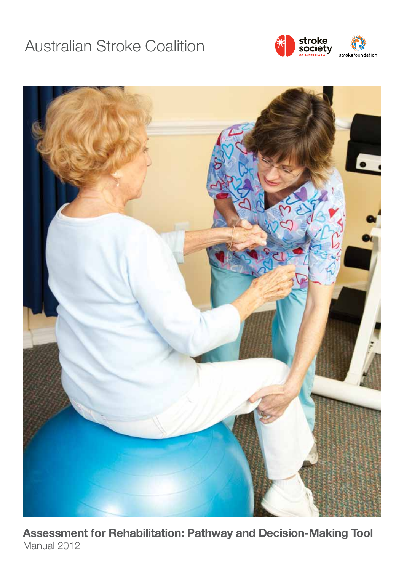# Australian Stroke Coalition





**Assessment for Rehabilitation: Pathway and Decision-Making Tool** Manual 2012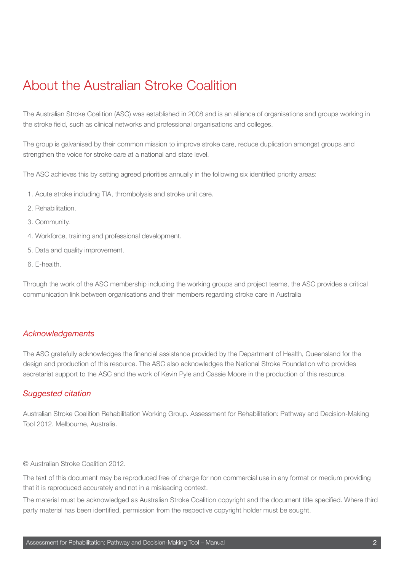# About the Australian Stroke Coalition

The Australian Stroke Coalition (ASC) was established in 2008 and is an alliance of organisations and groups working in the stroke field, such as clinical networks and professional organisations and colleges.

The group is galvanised by their common mission to improve stroke care, reduce duplication amongst groups and strengthen the voice for stroke care at a national and state level.

The ASC achieves this by setting agreed priorities annually in the following six identified priority areas:

- 1. Acute stroke including TIA, thrombolysis and stroke unit care.
- 2. Rehabilitation.
- 3. Community.
- 4. Workforce, training and professional development.
- 5. Data and quality improvement.
- 6. E-health.

Through the work of the ASC membership including the working groups and project teams, the ASC provides a critical communication link between organisations and their members regarding stroke care in Australia

### *Acknowledgements*

The ASC gratefully acknowledges the financial assistance provided by the Department of Health, Queensland for the design and production of this resource. The ASC also acknowledges the National Stroke Foundation who provides secretariat support to the ASC and the work of Kevin Pyle and Cassie Moore in the production of this resource.

### *Suggested citation*

Australian Stroke Coalition Rehabilitation Working Group. Assessment for Rehabilitation: Pathway and Decision-Making Tool 2012. Melbourne, Australia.

#### © Australian Stroke Coalition 2012.

The text of this document may be reproduced free of charge for non commercial use in any format or medium providing that it is reproduced accurately and not in a misleading context.

The material must be acknowledged as Australian Stroke Coalition copyright and the document title specified. Where third party material has been identified, permission from the respective copyright holder must be sought.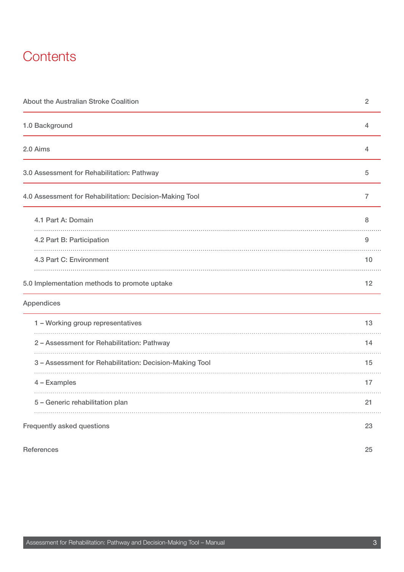# **Contents**

| About the Australian Stroke Coalition                   | $\sqrt{2}$     |
|---------------------------------------------------------|----------------|
| 1.0 Background                                          | $\overline{4}$ |
| 2.0 Aims                                                | $\overline{4}$ |
| 3.0 Assessment for Rehabilitation: Pathway              | $\sqrt{5}$     |
| 4.0 Assessment for Rehabilitation: Decision-Making Tool | 7              |
| 4.1 Part A: Domain                                      | 8              |
| 4.2 Part B: Participation                               | 9              |
| 4.3 Part C: Environment                                 | 10             |
| 5.0 Implementation methods to promote uptake            | 12             |
| Appendices                                              |                |
| 1 - Working group representatives                       | 13             |
| 2 - Assessment for Rehabilitation: Pathway              | 14             |
| 3 - Assessment for Rehabilitation: Decision-Making Tool | 15             |
| 4 - Examples                                            | 17             |
| 5 - Generic rehabilitation plan                         | 21             |
| Frequently asked questions                              | 23             |
| <b>References</b>                                       | 25             |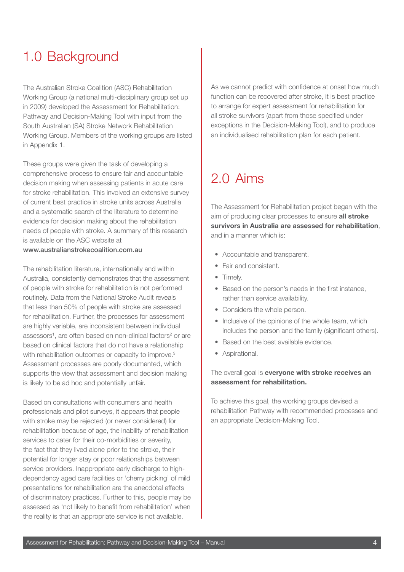# 1.0 Background

The Australian Stroke Coalition (ASC) Rehabilitation Working Group (a national multi-disciplinary group set up in 2009) developed the Assessment for Rehabilitation: Pathway and Decision-Making Tool with input from the South Australian (SA) Stroke Network Rehabilitation Working Group. Members of the working groups are listed in Appendix 1.

These groups were given the task of developing a comprehensive process to ensure fair and accountable decision making when assessing patients in acute care for stroke rehabilitation. This involved an extensive survey of current best practice in stroke units across Australia and a systematic search of the literature to determine evidence for decision making about the rehabilitation needs of people with stroke. A summary of this research is available on the ASC website at

www.australianstrokecoalition.com.au

The rehabilitation literature, internationally and within Australia, consistently demonstrates that the assessment of people with stroke for rehabilitation is not performed routinely. Data from the National Stroke Audit reveals that less than 50% of people with stroke are assessed for rehabilitation. Further, the processes for assessment are highly variable, are inconsistent between individual assessors<sup>1</sup>, are often based on non-clinical factors<sup>2</sup> or are based on clinical factors that do not have a relationship with rehabilitation outcomes or capacity to improve.<sup>3</sup> Assessment processes are poorly documented, which supports the view that assessment and decision making is likely to be ad hoc and potentially unfair.

Based on consultations with consumers and health professionals and pilot surveys, it appears that people with stroke may be rejected (or never considered) for rehabilitation because of age, the inability of rehabilitation services to cater for their co-morbidities or severity, the fact that they lived alone prior to the stroke, their potential for longer stay or poor relationships between service providers. Inappropriate early discharge to highdependency aged care facilities or 'cherry picking' of mild presentations for rehabilitation are the anecdotal effects of discriminatory practices. Further to this, people may be assessed as 'not likely to benefit from rehabilitation' when the reality is that an appropriate service is not available.

As we cannot predict with confidence at onset how much function can be recovered after stroke, it is best practice to arrange for expert assessment for rehabilitation for all stroke survivors (apart from those specified under exceptions in the Decision-Making Tool), and to produce an individualised rehabilitation plan for each patient.

# 2.0 Aims

The Assessment for Rehabilitation project began with the aim of producing clear processes to ensure **all stroke survivors in Australia are assessed for rehabilitation**, and in a manner which is:

- Accountable and transparent.
- Fair and consistent.
- Timely.
- Based on the person's needs in the first instance, rather than service availability.
- Considers the whole person.
- Inclusive of the opinions of the whole team, which includes the person and the family (significant others).
- Based on the best available evidence.
- Aspirational.

### The overall goal is **everyone with stroke receives an assessment for rehabilitation.**

To achieve this goal, the working groups devised a rehabilitation Pathway with recommended processes and an appropriate Decision-Making Tool.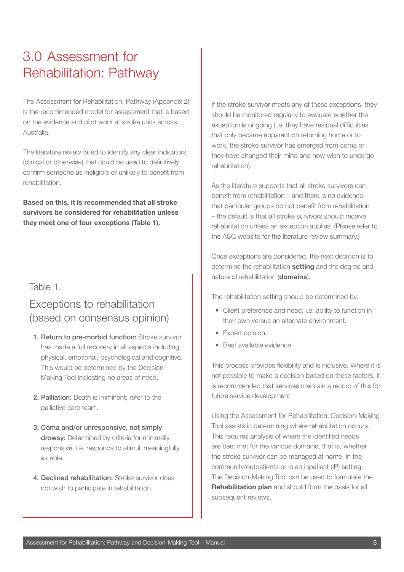# 3.0 Assessment for Rehabilitation: Pathway

The Assessment for Rehabilitation: Pathway (Appendix 2) is the recommended model for assessment that is based on the evidence and pilot work at stroke units across Australia.

The literature review failed to identify any clear indicators (clinical or otherwise) that could be used to definitively confirm someone as ineligible or unlikely to benefit from rehabilitation.

**Based on this, it is recommended that all stroke survivors be considered for rehabilitation unless they meet one of four exceptions (Table 1).**

### Table 1.

## Exceptions to rehabilitation (based on consensus opinion)

- 1. Return to pre-morbid function: Stroke survivor has made a full recovery in all aspects including physical, emotional, psychological and cognitive. This would be determined by the Decision-Making Tool indicating no areas of need.
- 2. Palliation: Death is imminent; refer to the palliative care team.
- 3. Coma and/or unresponsive, not simply drowsy: Determined by criteria for minimally responsive, i.e. responds to stimuli meaningfully as able.
- 4. Declined rehabilitation: Stroke survivor does not wish to participate in rehabilitation.

If the stroke survivor meets any of these exceptions, they should be monitored regularly to evaluate whether the exception is ongoing (i.e. they have residual difficulties that only became apparent on returning home or to work, the stroke survivor has emerged from coma or they have changed their mind and now wish to undergo rehabilitation).

As the literature supports that all stroke survivors can benefit from rehabilitation – and there is no evidence that particular groups do not benefit from rehabilitation – the default is that all stroke survivors should receive rehabilitation unless an exception applies. (Please refer to the ASC website for the literature review summary.)

Once exceptions are considered, the next decision is to determine the rehabilitation **setting** and the degree and nature of rehabilitation (**domains**).

The rehabilitation setting should be determined by:

- Client preference and need, i.e. ability to function in their own versus an alternate environment.
- Expert opinion.
- Best available evidence.

This process provides flexibility and is inclusive. Where it is not possible to make a decision based on these factors, it is recommended that services maintain a record of this for future service development.

Using the Assessment for Rehabilitation: Decision-Making Tool assists in determining where rehabilitation occurs. This requires analysis of where the identified needs are best met for the various domains, that is, whether the stroke survivor can be managed at home, in the community/outpatients or in an inpatient (IP) setting. The Decision-Making Tool can be used to formulate the **Rehabilitation plan** and should form the basis for all subsequent reviews.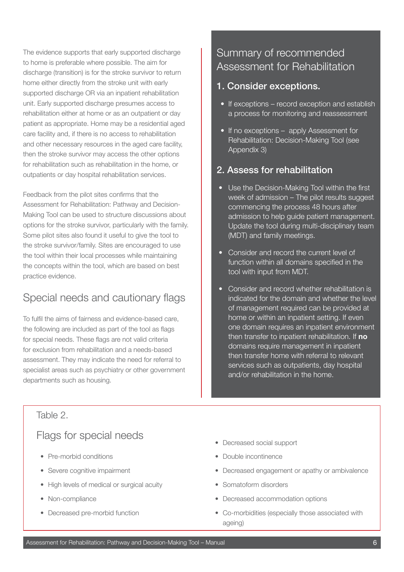The evidence supports that early supported discharge to home is preferable where possible. The aim for discharge (transition) is for the stroke survivor to return home either directly from the stroke unit with early supported discharge OR via an inpatient rehabilitation unit. Early supported discharge presumes access to rehabilitation either at home or as an outpatient or day patient as appropriate. Home may be a residential aged care facility and, if there is no access to rehabilitation and other necessary resources in the aged care facility, then the stroke survivor may access the other options for rehabilitation such as rehabilitation in the home, or outpatients or day hospital rehabilitation services.

Feedback from the pilot sites confirms that the Assessment for Rehabilitation: Pathway and Decision-Making Tool can be used to structure discussions about options for the stroke survivor, particularly with the family. Some pilot sites also found it useful to give the tool to the stroke survivor/family. Sites are encouraged to use the tool within their local processes while maintaining the concepts within the tool, which are based on best practice evidence.

## Special needs and cautionary flags

To fulfil the aims of fairness and evidence-based care, the following are included as part of the tool as flags for special needs. These flags are not valid criteria for exclusion from rehabilitation and a needs-based assessment. They may indicate the need for referral to specialist areas such as psychiatry or other government departments such as housing.

## Summary of recommended Assessment for Rehabilitation

### 1. Consider exceptions.

- If exceptions record exception and establish a process for monitoring and reassessment
- If no exceptions apply Assessment for Rehabilitation: Decision-Making Tool (see Appendix 3)

## 2. Assess for rehabilitation

- Use the Decision-Making Tool within the first week of admission – The pilot results suggest commencing the process 48 hours after admission to help guide patient management. Update the tool during multi-disciplinary team (MDT) and family meetings.
- Consider and record the current level of function within all domains specified in the tool with input from MDT.
- Consider and record whether rehabilitation is indicated for the domain and whether the level of management required can be provided at home or within an inpatient setting. If even one domain requires an inpatient environment then transfer to inpatient rehabilitation. If **no**  domains require management in inpatient then transfer home with referral to relevant services such as outpatients, day hospital and/or rehabilitation in the home.

### Table 2.

## Flags for special needs

- Pre-morbid conditions
- Severe cognitive impairment
- High levels of medical or surgical acuity
- Non-compliance
- Decreased pre-morbid function
- Decreased social support
- Double incontinence
- Decreased engagement or apathy or ambivalence
- Somatoform disorders
- Decreased accommodation options
- Co-morbidities (especially those associated with ageing)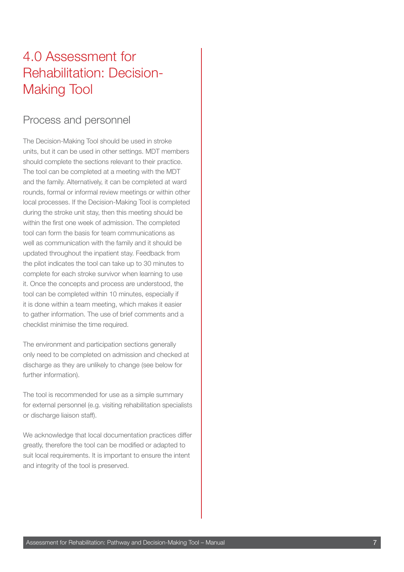# 4.0 Assessment for Rehabilitation: Decision-Making Tool

## Process and personnel

The Decision-Making Tool should be used in stroke units, but it can be used in other settings. MDT members should complete the sections relevant to their practice. The tool can be completed at a meeting with the MDT and the family. Alternatively, it can be completed at ward rounds, formal or informal review meetings or within other local processes. If the Decision-Making Tool is completed during the stroke unit stay, then this meeting should be within the first one week of admission. The completed tool can form the basis for team communications as well as communication with the family and it should be updated throughout the inpatient stay. Feedback from the pilot indicates the tool can take up to 30 minutes to complete for each stroke survivor when learning to use it. Once the concepts and process are understood, the tool can be completed within 10 minutes, especially if it is done within a team meeting, which makes it easier to gather information. The use of brief comments and a checklist minimise the time required.

The environment and participation sections generally only need to be completed on admission and checked at discharge as they are unlikely to change (see below for further information).

The tool is recommended for use as a simple summary for external personnel (e.g. visiting rehabilitation specialists or discharge liaison staff).

We acknowledge that local documentation practices differ greatly, therefore the tool can be modified or adapted to suit local requirements. It is important to ensure the intent and integrity of the tool is preserved.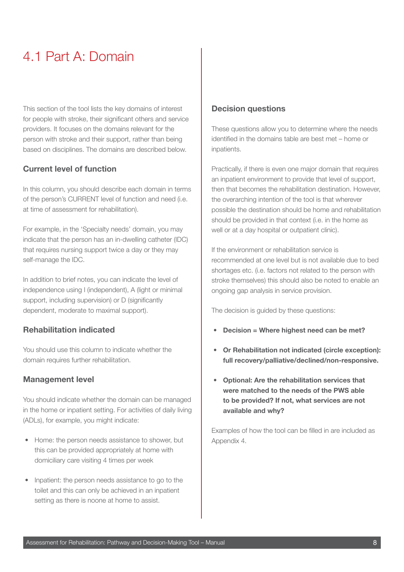# 4.1 Part A: Domain

This section of the tool lists the key domains of interest for people with stroke, their significant others and service providers. It focuses on the domains relevant for the person with stroke and their support, rather than being based on disciplines. The domains are described below.

### **Current level of function**

In this column, you should describe each domain in terms of the person's CURRENT level of function and need (i.e. at time of assessment for rehabilitation).

For example, in the 'Specialty needs' domain, you may indicate that the person has an in-dwelling catheter (IDC) that requires nursing support twice a day or they may self-manage the IDC.

In addition to brief notes, you can indicate the level of independence using I (independent), A (light or minimal support, including supervision) or D (significantly dependent, moderate to maximal support).

### **Rehabilitation indicated**

You should use this column to indicate whether the domain requires further rehabilitation.

### **Management level**

You should indicate whether the domain can be managed in the home or inpatient setting. For activities of daily living (ADLs), for example, you might indicate:

- Home: the person needs assistance to shower, but this can be provided appropriately at home with domiciliary care visiting 4 times per week
- Inpatient: the person needs assistance to go to the toilet and this can only be achieved in an inpatient setting as there is noone at home to assist.

#### **Decision questions**

These questions allow you to determine where the needs identified in the domains table are best met – home or inpatients.

Practically, if there is even one major domain that requires an inpatient environment to provide that level of support, then that becomes the rehabilitation destination. However, the overarching intention of the tool is that wherever possible the destination should be home and rehabilitation should be provided in that context (i.e. in the home as well or at a day hospital or outpatient clinic).

If the environment or rehabilitation service is recommended at one level but is not available due to bed shortages etc. (i.e. factors not related to the person with stroke themselves) this should also be noted to enable an ongoing gap analysis in service provision.

The decision is guided by these questions:

- **• Decision = Where highest need can be met?**
- **• Or Rehabilitation not indicated (circle exception): full recovery/palliative/declined/non-responsive.**
- **• Optional: Are the rehabilitation services that were matched to the needs of the PWS able to be provided? If not, what services are not available and why?**

Examples of how the tool can be filled in are included as Appendix 4.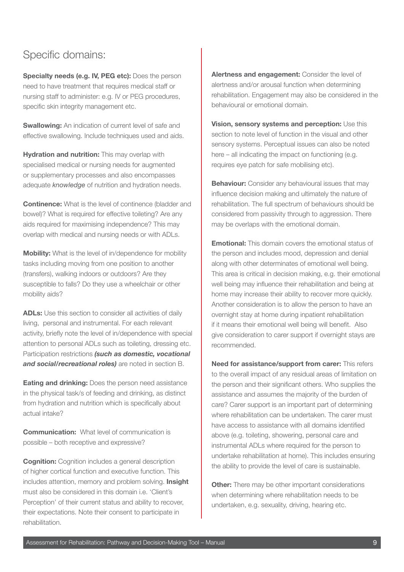## Specific domains:

**Specialty needs (e.g. IV, PEG etc):** Does the person need to have treatment that requires medical staff or nursing staff to administer: e.g. IV or PEG procedures, specific skin integrity management etc.

**Swallowing:** An indication of current level of safe and effective swallowing. Include techniques used and aids.

**Hydration and nutrition:** This may overlap with specialised medical or nursing needs for augmented or supplementary processes and also encompasses adequate *knowledge* of nutrition and hydration needs.

**Continence:** What is the level of continence (bladder and bowel)? What is required for effective toileting? Are any aids required for maximising independence? This may overlap with medical and nursing needs or with ADLs.

**Mobility:** What is the level of in/dependence for mobility tasks including moving from one position to another (transfers), walking indoors or outdoors? Are they susceptible to falls? Do they use a wheelchair or other mobility aids?

**ADLs:** Use this section to consider all activities of daily living, personal and instrumental. For each relevant activity, briefly note the level of in/dependence with special attention to personal ADLs such as toileting, dressing etc. Participation restrictions *(such as domestic, vocational and social/recreational roles)* are noted in section B.

**Eating and drinking:** Does the person need assistance in the physical task/s of feeding and drinking, as distinct from hydration and nutrition which is specifically about actual intake?

**Communication:** What level of communication is possible – both receptive and expressive?

**Cognition:** Cognition includes a general description of higher cortical function and executive function. This includes attention, memory and problem solving. **Insight**  must also be considered in this domain i.e. 'Client's Perception' of their current status and ability to recover, their expectations. Note their consent to participate in rehabilitation.

**Alertness and engagement:** Consider the level of alertness and/or arousal function when determining rehabilitation. Engagement may also be considered in the behavioural or emotional domain.

**Vision, sensory systems and perception:** Use this section to note level of function in the visual and other sensory systems. Perceptual issues can also be noted here – all indicating the impact on functioning (e.g. requires eye patch for safe mobilising etc).

**Behaviour:** Consider any behavioural issues that may influence decision making and ultimately the nature of rehabilitation. The full spectrum of behaviours should be considered from passivity through to aggression. There may be overlaps with the emotional domain.

**Emotional:** This domain covers the emotional status of the person and includes mood, depression and denial along with other determinates of emotional well being. This area is critical in decision making, e.g. their emotional well being may influence their rehabilitation and being at home may increase their ability to recover more quickly. Another consideration is to allow the person to have an overnight stay at home during inpatient rehabilitation if it means their emotional well being will benefit. Also give consideration to carer support if overnight stays are recommended.

**Need for assistance/support from carer:** This refers to the overall impact of any residual areas of limitation on the person and their significant others. Who supplies the assistance and assumes the majority of the burden of care? Carer support is an important part of determining where rehabilitation can be undertaken. The carer must have access to assistance with all domains identified above (e.g. toileting, showering, personal care and instrumental ADLs where required for the person to undertake rehabilitation at home). This includes ensuring the ability to provide the level of care is sustainable.

**Other:** There may be other important considerations when determining where rehabilitation needs to be undertaken, e.g. sexuality, driving, hearing etc.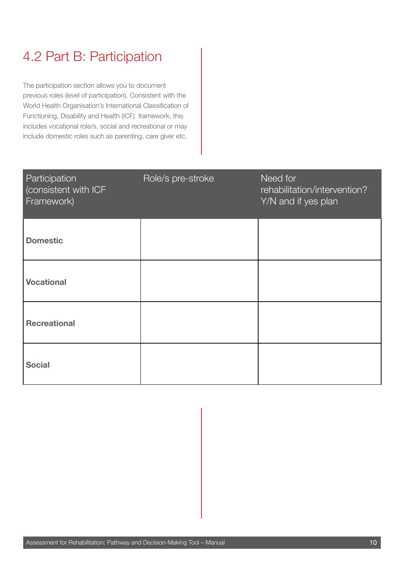# 4.2 Part B: Participation

The participation section allows you to document previous roles (level of participation). Consistent with the World Health Organisation's International Classification of Functioning, Disability and Health (ICF) framework, this includes vocational role/s, social and recreational or may include domestic roles such as parenting, care giver etc.

| Participation<br>consistent with ICF<br>Framework) | Role/s pre-stroke | Need for<br>rehabilitation/intervention?<br>Y/N and if yes plan |
|----------------------------------------------------|-------------------|-----------------------------------------------------------------|
| <b>Domestic</b>                                    |                   |                                                                 |
| <b>Vocational</b>                                  |                   |                                                                 |
| <b>Recreational</b>                                |                   |                                                                 |
| <b>Social</b>                                      |                   |                                                                 |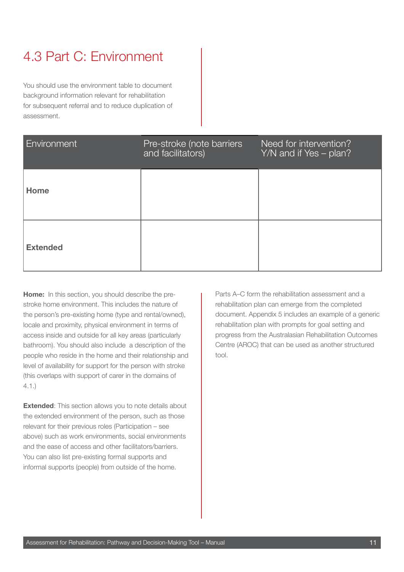# 4.3 Part C: Environment

You should use the environment table to document background information relevant for rehabilitation for subsequent referral and to reduce duplication of assessment.

| Environment     | Pre-stroke (note barriers<br>and facilitators) | Need for intervention?<br>Y/N and if Yes – plan? |
|-----------------|------------------------------------------------|--------------------------------------------------|
| Home            |                                                |                                                  |
| <b>Extended</b> |                                                |                                                  |

**Home:** In this section, you should describe the prestroke home environment. This includes the nature of the person's pre-existing home (type and rental/owned), locale and proximity, physical environment in terms of access inside and outside for all key areas (particularly bathroom). You should also include a description of the people who reside in the home and their relationship and level of availability for support for the person with stroke (this overlaps with support of carer in the domains of 4.1.)

**Extended:** This section allows you to note details about the extended environment of the person, such as those relevant for their previous roles (Participation – see above) such as work environments, social environments and the ease of access and other facilitators/barriers. You can also list pre-existing formal supports and informal supports (people) from outside of the home.

Parts A–C form the rehabilitation assessment and a rehabilitation plan can emerge from the completed document. Appendix 5 includes an example of a generic rehabilitation plan with prompts for goal setting and progress from the Australasian Rehabilitation Outcomes Centre (AROC) that can be used as another structured tool.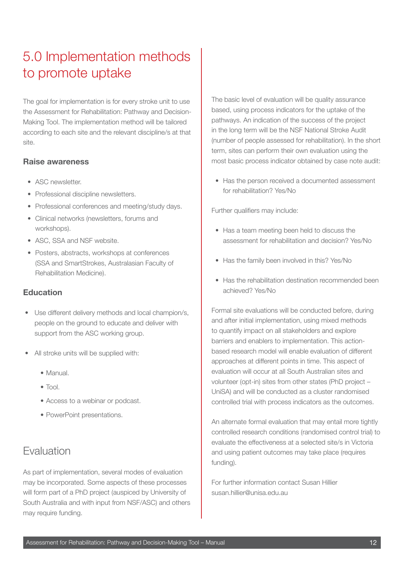# 5.0 Implementation methods to promote uptake

The goal for implementation is for every stroke unit to use the Assessment for Rehabilitation: Pathway and Decision-Making Tool. The implementation method will be tailored according to each site and the relevant discipline/s at that site.

### **Raise awareness**

- ASC newsletter.
- Professional discipline newsletters.
- Professional conferences and meeting/study days.
- Clinical networks (newsletters, forums and workshops).
- ASC, SSA and NSF website.
- Posters, abstracts, workshops at conferences (SSA and SmartStrokes, Australasian Faculty of Rehabilitation Medicine).

### **Education**

- Use different delivery methods and local champion/s, people on the ground to educate and deliver with support from the ASC working group.
- All stroke units will be supplied with:
	- Manual.
	- Tool.
	- Access to a webinar or podcast.
	- PowerPoint presentations.

## Evaluation

As part of implementation, several modes of evaluation may be incorporated. Some aspects of these processes will form part of a PhD project (auspiced by University of South Australia and with input from NSF/ASC) and others may require funding.

The basic level of evaluation will be quality assurance based, using process indicators for the uptake of the pathways. An indication of the success of the project in the long term will be the NSF National Stroke Audit (number of people assessed for rehabilitation). In the short term, sites can perform their own evaluation using the most basic process indicator obtained by case note audit:

• Has the person received a documented assessment for rehabilitation? Yes/No

Further qualifiers may include:

- Has a team meeting been held to discuss the assessment for rehabilitation and decision? Yes/No
- Has the family been involved in this? Yes/No
- Has the rehabilitation destination recommended been achieved? Yes/No

Formal site evaluations will be conducted before, during and after initial implementation, using mixed methods to quantify impact on all stakeholders and explore barriers and enablers to implementation. This actionbased research model will enable evaluation of different approaches at different points in time. This aspect of evaluation will occur at all South Australian sites and volunteer (opt-in) sites from other states (PhD project – UniSA) and will be conducted as a cluster randomised controlled trial with process indicators as the outcomes.

An alternate formal evaluation that may entail more tightly controlled research conditions (randomised control trial) to evaluate the effectiveness at a selected site/s in Victoria and using patient outcomes may take place (requires funding).

For further information contact Susan Hillier susan.hillier@unisa.edu.au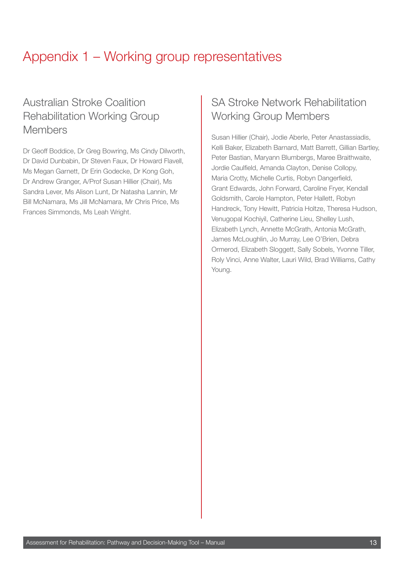# Appendix 1 – Working group representatives

## Australian Stroke Coalition Rehabilitation Working Group Members

Dr Geoff Boddice, Dr Greg Bowring, Ms Cindy Dilworth, Dr David Dunbabin, Dr Steven Faux, Dr Howard Flavell, Ms Megan Garnett, Dr Erin Godecke, Dr Kong Goh, Dr Andrew Granger, A/Prof Susan Hillier (Chair), Ms Sandra Lever, Ms Alison Lunt, Dr Natasha Lannin, Mr Bill McNamara, Ms Jill McNamara, Mr Chris Price, Ms Frances Simmonds, Ms Leah Wright.

## SA Stroke Network Rehabilitation Working Group Members

Susan Hillier (Chair), Jodie Aberle, Peter Anastassiadis, Kelli Baker, Elizabeth Barnard, Matt Barrett, Gillian Bartley, Peter Bastian, Maryann Blumbergs, Maree Braithwaite, Jordie Caulfield, Amanda Clayton, Denise Collopy, Maria Crotty, Michelle Curtis, Robyn Dangerfield, Grant Edwards, John Forward, Caroline Fryer, Kendall Goldsmith, Carole Hampton, Peter Hallett, Robyn Handreck, Tony Hewitt, Patricia Holtze, Theresa Hudson, Venugopal Kochiyil, Catherine Lieu, Shelley Lush, Elizabeth Lynch, Annette McGrath, Antonia McGrath, James McLoughlin, Jo Murray, Lee O'Brien, Debra Ormerod, Elizabeth Sloggett, Sally Sobels, Yvonne Tiller, Roly Vinci, Anne Walter, Lauri Wild, Brad Williams, Cathy Young.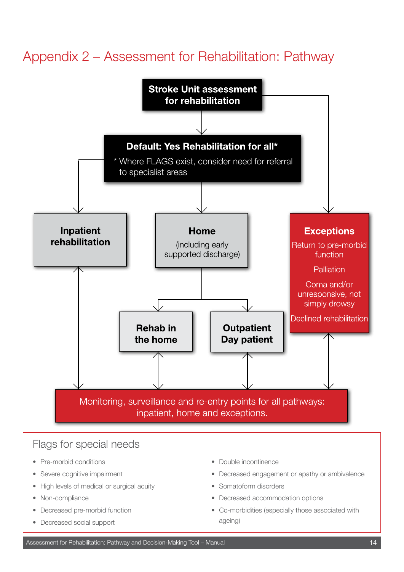# Appendix 2 – Assessment for Rehabilitation: Pathway



## Flags for special needs

- Pre-morbid conditions
- Severe cognitive impairment
- High levels of medical or surgical acuity
- Non-compliance
- Decreased pre-morbid function
- Decreased social support
- Double incontinence
- Decreased engagement or apathy or ambivalence
- Somatoform disorders
- Decreased accommodation options
- Co-morbidities (especially those associated with ageing)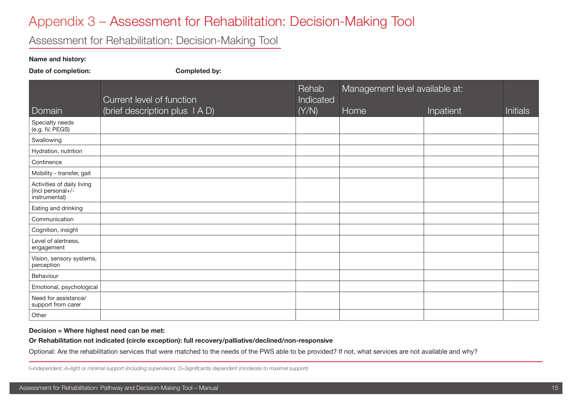# Appendix 3 – Assessment for Rehabilitation: Decision-Making Tool

## Assessment for Rehabilitation: Decision-Making Tool

#### **Name and history:**

Date of completion: Completed by:

|                                                                  |                                                           | <b>Rehab</b>       | Management level available at: |           |                 |
|------------------------------------------------------------------|-----------------------------------------------------------|--------------------|--------------------------------|-----------|-----------------|
| Domain                                                           | Current level of function<br>(brief description plus IAD) | Indicated<br>(Y/N) | Home                           | Inpatient | <b>Initials</b> |
| Specialty needs<br>(e.g. IV, PEGS)                               |                                                           |                    |                                |           |                 |
| Swallowing                                                       |                                                           |                    |                                |           |                 |
| Hydration, nutrition                                             |                                                           |                    |                                |           |                 |
| Continence                                                       |                                                           |                    |                                |           |                 |
| Mobility - transfer, gait                                        |                                                           |                    |                                |           |                 |
| Activities of daily living<br>(incl personal+/-<br>instrumental) |                                                           |                    |                                |           |                 |
| Eating and drinking                                              |                                                           |                    |                                |           |                 |
| Communication                                                    |                                                           |                    |                                |           |                 |
| Cognition, insight                                               |                                                           |                    |                                |           |                 |
| Level of alertness,<br>engagement                                |                                                           |                    |                                |           |                 |
| Vision, sensory systems,<br>perception                           |                                                           |                    |                                |           |                 |
| Behaviour                                                        |                                                           |                    |                                |           |                 |
| Emotional, psychological                                         |                                                           |                    |                                |           |                 |
| Need for assistance/<br>support from carer                       |                                                           |                    |                                |           |                 |
| Other                                                            |                                                           |                    |                                |           |                 |

#### **Decision = Where highest need can be met:**

**Or Rehabilitation not indicated (circle exception): full recovery/palliative/declined/non-responsive**

Optional: Are the rehabilitation services that were matched to the needs of the PWS able to be provided? If not, what services are not available and why?

*I=independent; A=light or minimal support (including supervision); D=Significantly dependent (moderate to maximal support)*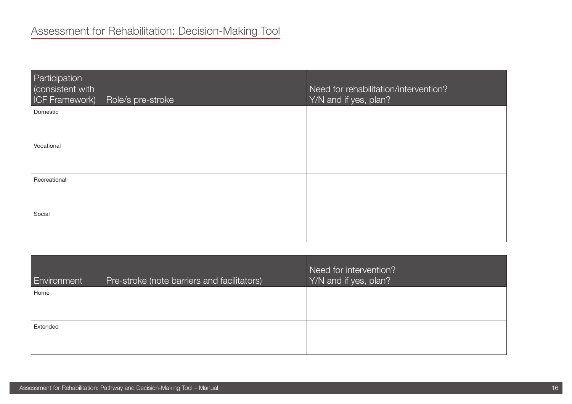| Participation<br>(consistent with<br><b>ICF Framework)</b> | Role/s pre-stroke | Need for rehabilitation/intervention?<br>Y/N and if yes, plan? |
|------------------------------------------------------------|-------------------|----------------------------------------------------------------|
| Domestic                                                   |                   |                                                                |
| Vocational                                                 |                   |                                                                |
| Recreational                                               |                   |                                                                |
| Social                                                     |                   |                                                                |

| <b>Environment</b> | Pre-stroke (note barriers and facilitators) | Need for intervention?<br>Y/N and if yes, plan? |
|--------------------|---------------------------------------------|-------------------------------------------------|
| Home               |                                             |                                                 |
| Extended           |                                             |                                                 |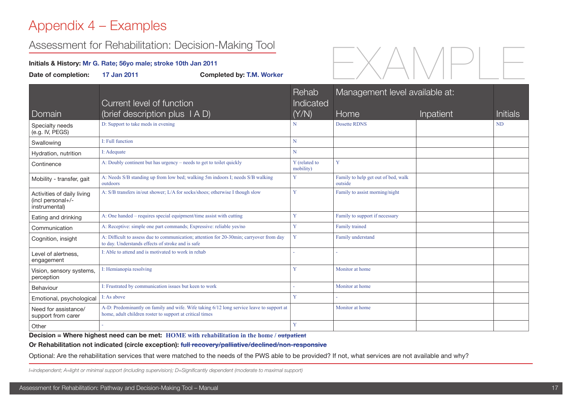# Appendix 4 – Examples

## Assessment for Rehabilitation: Decision-Making Tool

#### **Initials & History: Mr G. Rate; 56yo male; stroke 10th Jan 2011**

| ASSESSITIEHT IVI NEHAVIIILAIJUT. DEVISIVITIVIANITY TVVI<br>Initials & History: Mr G. Rate; 56yo male; stroke 10th Jan 2011<br>Date of completion:<br>17 Jan 2011<br><b>Completed by: T.M. Worker</b> |                                                                                                                                                      |                             |                                                |                  |                 |
|------------------------------------------------------------------------------------------------------------------------------------------------------------------------------------------------------|------------------------------------------------------------------------------------------------------------------------------------------------------|-----------------------------|------------------------------------------------|------------------|-----------------|
|                                                                                                                                                                                                      |                                                                                                                                                      |                             |                                                |                  |                 |
| Domain                                                                                                                                                                                               | Current level of function<br>(brief description plus TAD)                                                                                            | Rehab<br>Indicated<br>(Y/N) | Management level available at:<br>Home         | <b>Inpatient</b> | <b>Initials</b> |
| Specialty needs<br>(e.g. IV, PEGS)                                                                                                                                                                   | D: Support to take meds in evening                                                                                                                   | N                           | Dosette RDNS                                   |                  | <b>ND</b>       |
| Swallowing                                                                                                                                                                                           | I: Full function                                                                                                                                     | N                           |                                                |                  |                 |
| Hydration, nutrition                                                                                                                                                                                 | I: Adequate                                                                                                                                          | N                           |                                                |                  |                 |
| Continence                                                                                                                                                                                           | A: Doubly continent but has urgency – needs to get to toilet quickly                                                                                 | Y (related to<br>mobility)  | Y                                              |                  |                 |
| Mobility - transfer, gait                                                                                                                                                                            | A: Needs S/B standing up from low bed; walking 5m indoors I; needs S/B walking<br>outdoors                                                           | Y                           | Family to help get out of bed, walk<br>outside |                  |                 |
| Activities of daily living<br>(incl personal+/-<br>instrumental)                                                                                                                                     | A: S/B transfers in/out shower; L/A for socks/shoes; otherwise I though slow                                                                         | Y                           | Family to assist morning/night                 |                  |                 |
| Eating and drinking                                                                                                                                                                                  | A: One handed – requires special equipment/time assist with cutting                                                                                  | Y                           | Family to support if necessary                 |                  |                 |
| Communication                                                                                                                                                                                        | A: Receptive: simple one part commands; Expressive: reliable yes/no                                                                                  | Y                           | Family trained                                 |                  |                 |
| Cognition, insight                                                                                                                                                                                   | A: Difficult to assess due to communication; attention for 20-30min; carryover from day<br>to day. Understands effects of stroke and is safe         | Y                           | Family understand                              |                  |                 |
| Level of alertness,<br>engagement                                                                                                                                                                    | I: Able to attend and is motivated to work in rehab                                                                                                  |                             |                                                |                  |                 |
| Vision, sensory systems,<br>perception                                                                                                                                                               | I: Hemianopia resolving                                                                                                                              | Y                           | Monitor at home                                |                  |                 |
| Behaviour                                                                                                                                                                                            | I: Frustrated by communication issues but keen to work                                                                                               |                             | Monitor at home                                |                  |                 |
| Emotional, psychological                                                                                                                                                                             | I: As above                                                                                                                                          | Y                           |                                                |                  |                 |
| Need for assistance/<br>support from carer                                                                                                                                                           | A-D: Predominantly on family and wife. Wife taking 6/12 long service leave to support at<br>home, adult children roster to support at critical times |                             | Monitor at home                                |                  |                 |
| Other                                                                                                                                                                                                |                                                                                                                                                      | Y                           |                                                |                  |                 |

**Decision = Where highest need can be met: HOME with rehabilitation in the home / outpatient**

**Or Rehabilitation not indicated (circle exception): full recovery/palliative/declined/non-responsive**

Optional: Are the rehabilitation services that were matched to the needs of the PWS able to be provided? If not, what services are not available and why?

*I=independent; A=light or minimal support (including supervision); D=Significantly dependent (moderate to maximal support)*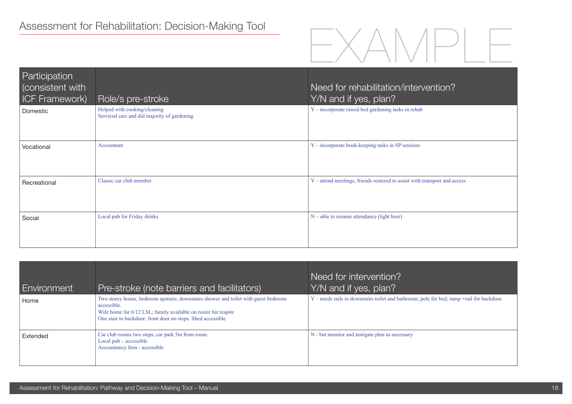

| Participation         |                                                                             |                                                                           |
|-----------------------|-----------------------------------------------------------------------------|---------------------------------------------------------------------------|
| consistent with       |                                                                             | Need for rehabilitation/intervention?                                     |
| <b>ICF Framework)</b> | Role/s pre-stroke                                                           | Y/N and if yes, plan?                                                     |
| Domestic              | Helped with cooking/cleaning<br>Serviced cars and did majority of gardening | $Y$ – incorporate raised bed gardening tasks in rehab                     |
| Vocational            | Accountant                                                                  | Y – incorporate book-keeping tasks in SP sessions                         |
| Recreational          | Classic car club member                                                     | Y – attend meetings, friends rostered to assist with transport and access |
| Social                | Local pub for Friday drinks                                                 | $N -$ able to resume attendance (light beer)                              |

| <b>Environment</b> | Pre-stroke (note barriers and facilitators)                                                                                                                                                                                         | Need for intervention?<br>Y/N and if yes, plan?                                           |
|--------------------|-------------------------------------------------------------------------------------------------------------------------------------------------------------------------------------------------------------------------------------|-------------------------------------------------------------------------------------------|
| Home               | Two storey house, bedroom upstairs; downstairs shower and toilet with guest bedroom<br>accessible.<br>Wife home for 6/12 LSL; family available on roster for respite<br>One stair to backdoor; front door no steps. Shed accessible | Y – needs rails in downstairs toilet and bathroom; pole for bed; ramp +rail for backdoor. |
| Extended           | Car club rooms two steps; car park 5m from room.<br>Local $pub - accessible$<br>Accountancy firm - accessible                                                                                                                       | N - but monitor and instigate plan as necessary                                           |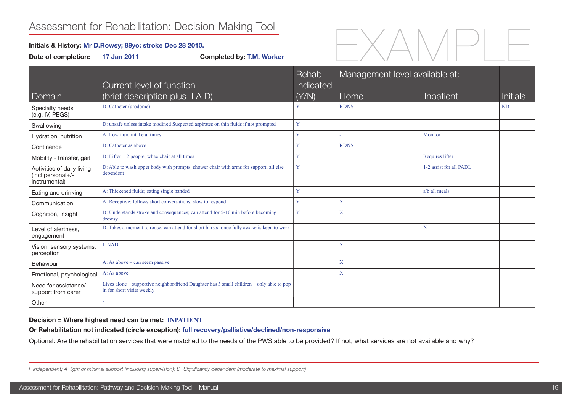## Assessment for Rehabilitation: Decision-Making Tool

#### **Initials & History: Mr D.Rowsy; 88yo; stroke Dec 28 2010.**

Date of completion: 17 Jan 2011 Completed by: T.M. Worker



|                                                                  | Current level of function                                                                                               | Rehab<br>Indicated | Management level available at: |                           |                 |
|------------------------------------------------------------------|-------------------------------------------------------------------------------------------------------------------------|--------------------|--------------------------------|---------------------------|-----------------|
| Domain                                                           | (brief description plus $(A D)$                                                                                         | (Y/N)              | Home                           | Inpatient                 | <b>Initials</b> |
| Specialty needs<br>(e.g. IV, PEGS)                               | D: Catheter (urodome)                                                                                                   | Y                  | <b>RDNS</b>                    |                           | <b>ND</b>       |
| Swallowing                                                       | D: unsafe unless intake modified Suspected aspirates on thin fluids if not prompted                                     | Y                  |                                |                           |                 |
| Hydration, nutrition                                             | A: Low fluid intake at times                                                                                            | Y                  |                                | Monitor                   |                 |
| Continence                                                       | D: Catheter as above                                                                                                    | Y                  | <b>RDNS</b>                    |                           |                 |
| Mobility - transfer, gait                                        | D: Lifter $+$ 2 people; wheelchair at all times                                                                         | Y                  |                                | Requires lifter           |                 |
| Activities of daily living<br>(incl personal+/-<br>instrumental) | D: Able to wash upper body with prompts; shower chair with arms for support; all else<br>dependent                      | Y                  |                                | 1-2 assist for all PADL   |                 |
| Eating and drinking                                              | A: Thickened fluids; eating single handed                                                                               | Y                  |                                | s/b all meals             |                 |
| Communication                                                    | A: Receptive: follows short conversations; slow to respond                                                              | Y                  | X                              |                           |                 |
| Cognition, insight                                               | D: Understands stroke and consequences; can attend for 5-10 min before becoming<br>drowsy                               | Y                  | X                              |                           |                 |
| Level of alertness.<br>engagement                                | D: Takes a moment to rouse; can attend for short bursts; once fully awake is keen to work                               |                    |                                | $\boldsymbol{\mathrm{X}}$ |                 |
| Vision, sensory systems,<br>perception                           | I: NAD                                                                                                                  |                    | X                              |                           |                 |
| Behaviour                                                        | A: As above $-$ can seem passive                                                                                        |                    | X                              |                           |                 |
| Emotional, psychological                                         | A: As above                                                                                                             |                    | X                              |                           |                 |
| Need for assistance/<br>support from carer                       | Lives alone – supportive neighbor/friend Daughter has 3 small children – only able to pop<br>in for short visits weekly |                    |                                |                           |                 |
| Other                                                            |                                                                                                                         |                    |                                |                           |                 |

#### **Decision = Where highest need can be met: INPATIENT**

**Or Rehabilitation not indicated (circle exception): full recovery/palliative/declined/non-responsive**

Optional: Are the rehabilitation services that were matched to the needs of the PWS able to be provided? If not, what services are not available and why?

*I=independent; A=light or minimal support (including supervision); D=Significantly dependent (moderate to maximal support)*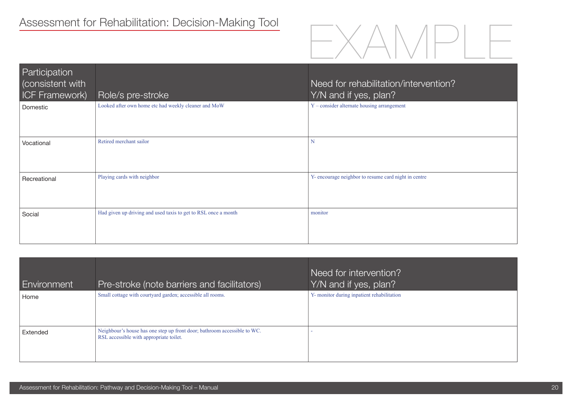

| Participation<br>Consistent with<br><b>ICF Framework)</b> | Role/s pre-stroke                                              | Need for rehabilitation/intervention?<br>Y/N and if yes, plan? |
|-----------------------------------------------------------|----------------------------------------------------------------|----------------------------------------------------------------|
| Domestic                                                  | Looked after own home etc had weekly cleaner and MoW           | Y - consider alternate housing arrangement                     |
| Vocational                                                | Retired merchant sailor                                        | N                                                              |
| Recreational                                              | Playing cards with neighbor                                    | Y- encourage neighbor to resume card night in centre           |
| Social                                                    | Had given up driving and used taxis to get to RSL once a month | monitor                                                        |

| Environment | Pre-stroke (note barriers and facilitators)                                                                         | Need for intervention?<br>Y/N and if yes, plan? |
|-------------|---------------------------------------------------------------------------------------------------------------------|-------------------------------------------------|
| Home        | Small cottage with courtyard garden; accessible all rooms.                                                          | Y- monitor during inpatient rehabilitation      |
| Extended    | Neighbour's house has one step up front door; bathroom accessible to WC.<br>RSL accessible with appropriate toilet. |                                                 |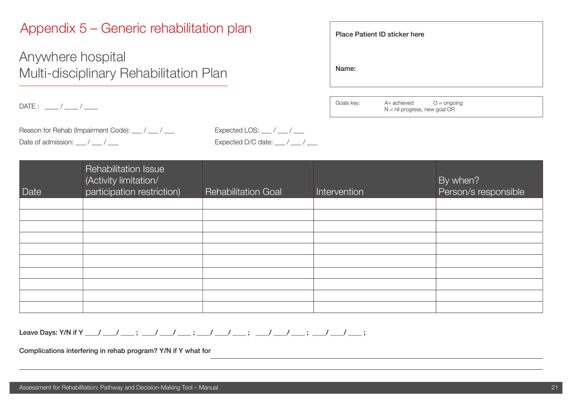## Appendix 5 – Generic rehabilitation plan

Anywhere hospital Multi-disciplinary Rehabilitation Plan

DATE : \_\_\_\_ / \_\_\_\_ / \_\_\_\_

|            | <b>Place Patient ID sticker here</b> |               |  |
|------------|--------------------------------------|---------------|--|
| Name:      |                                      |               |  |
|            |                                      |               |  |
| Goals kev: | $A=$ achieved                        | $O =$ onaoina |  |

N = nil progress, new goal OR

Reason for Rehab (Impairment Code): \_\_\_ / \_\_\_ / \_\_\_ Expected LOS: \_\_ / \_\_ / \_\_\_ Date of admission:  $\qquad$  /  $\qquad$  /  $\qquad$  Expected D/C date:  $\qquad$  /  $\qquad$  /

| Date | Rehabilitation Issue<br>(Activity limitation/<br>participation restriction) | <b>Rehabilitation Goal</b> | Intervention | By when?<br>Person/s responsible |
|------|-----------------------------------------------------------------------------|----------------------------|--------------|----------------------------------|
|      |                                                                             |                            |              |                                  |
|      |                                                                             |                            |              |                                  |
|      |                                                                             |                            |              |                                  |
|      |                                                                             |                            |              |                                  |
|      |                                                                             |                            |              |                                  |
|      |                                                                             |                            |              |                                  |
|      |                                                                             |                            |              |                                  |
|      |                                                                             |                            |              |                                  |
|      |                                                                             |                            |              |                                  |
|      |                                                                             |                            |              |                                  |

Leave Days: Y/N if Y \_\_\_\_/ \_\_\_\_\_ ; \_\_\_\_/ \_\_\_\_\_ ; \_\_\_\_/ \_\_\_\_\_ ; \_\_\_\_/ \_\_\_\_\_ ; \_\_\_\_/ \_\_\_\_\_\_ ;

Complications interfering in rehab program? Y/N if Y what for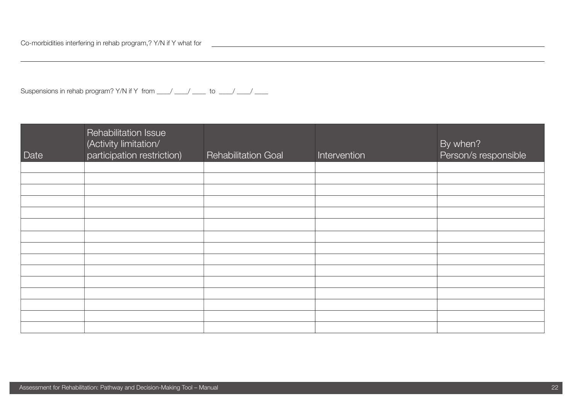Suspensions in rehab program? Y/N if Y from  $\frac{1}{2}$   $\frac{1}{2}$  to  $\frac{1}{2}$ 

| Date | Rehabilitation Issue<br>(Activity limitation/<br>participation restriction) | <b>Rehabilitation Goal</b> | Intervention | By when?<br>Person/s responsible |
|------|-----------------------------------------------------------------------------|----------------------------|--------------|----------------------------------|
|      |                                                                             |                            |              |                                  |
|      |                                                                             |                            |              |                                  |
|      |                                                                             |                            |              |                                  |
|      |                                                                             |                            |              |                                  |
|      |                                                                             |                            |              |                                  |
|      |                                                                             |                            |              |                                  |
|      |                                                                             |                            |              |                                  |
|      |                                                                             |                            |              |                                  |
|      |                                                                             |                            |              |                                  |
|      |                                                                             |                            |              |                                  |
|      |                                                                             |                            |              |                                  |
|      |                                                                             |                            |              |                                  |
|      |                                                                             |                            |              |                                  |
|      |                                                                             |                            |              |                                  |
|      |                                                                             |                            |              |                                  |

<u> 1980 - John Sterling van de Fryske kalender († 1908)</u>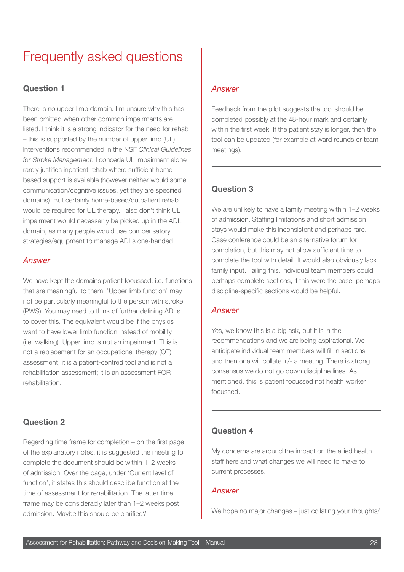# Frequently asked questions

### **Question 1**

There is no upper limb domain. I'm unsure why this has been omitted when other common impairments are listed. I think it is a strong indicator for the need for rehab – this is supported by the number of upper limb (UL) interventions recommended in the NSF *Clinical Guidelines for Stroke Management*. I concede UL impairment alone rarely justifies inpatient rehab where sufficient homebased support is available (however neither would some communication/cognitive issues, yet they are specified domains). But certainly home-based/outpatient rehab would be required for UL therapy. I also don't think UL impairment would necessarily be picked up in the ADL domain, as many people would use compensatory strategies/equipment to manage ADLs one-handed.

#### *Answer*

We have kept the domains patient focussed, i.e. functions that are meaningful to them. 'Upper limb function' may not be particularly meaningful to the person with stroke (PWS). You may need to think of further defining ADLs to cover this. The equivalent would be if the physios want to have lower limb function instead of mobility (i.e. walking). Upper limb is not an impairment. This is not a replacement for an occupational therapy (OT) assessment, it is a patient-centred tool and is not a rehabilitation assessment; it is an assessment FOR rehabilitation.

### **Question 2**

Regarding time frame for completion – on the first page of the explanatory notes, it is suggested the meeting to complete the document should be within 1–2 weeks of admission. Over the page, under 'Current level of function', it states this should describe function at the time of assessment for rehabilitation. The latter time frame may be considerably later than 1–2 weeks post admission. Maybe this should be clarified?

### *Answer*

Feedback from the pilot suggests the tool should be completed possibly at the 48-hour mark and certainly within the first week. If the patient stay is longer, then the tool can be updated (for example at ward rounds or team meetings).

### **Question 3**

We are unlikely to have a family meeting within 1-2 weeks of admission. Staffing limitations and short admission stays would make this inconsistent and perhaps rare. Case conference could be an alternative forum for completion, but this may not allow sufficient time to complete the tool with detail. It would also obviously lack family input. Failing this, individual team members could perhaps complete sections; if this were the case, perhaps discipline-specific sections would be helpful.

### *Answer*

Yes, we know this is a big ask, but it is in the recommendations and we are being aspirational. We anticipate individual team members will fill in sections and then one will collate +/- a meeting. There is strong consensus we do not go down discipline lines. As mentioned, this is patient focussed not health worker focussed.

### **Question 4**

My concerns are around the impact on the allied health staff here and what changes we will need to make to current processes.

#### *Answer*

We hope no major changes – just collating your thoughts/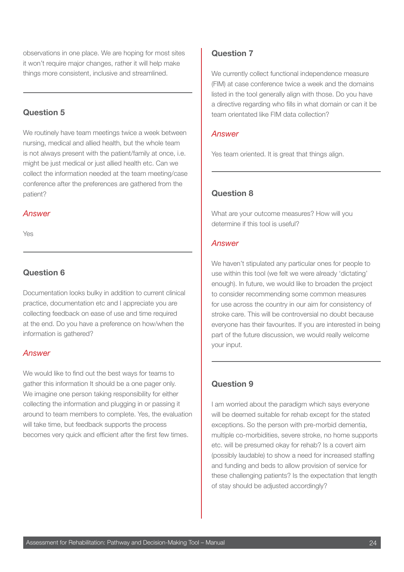observations in one place. We are hoping for most sites it won't require major changes, rather it will help make things more consistent, inclusive and streamlined.

### **Question 5**

We routinely have team meetings twice a week between nursing, medical and allied health, but the whole team is not always present with the patient/family at once, i.e. might be just medical or just allied health etc. Can we collect the information needed at the team meeting/case conference after the preferences are gathered from the patient?

### *Answer*

Yes

### **Question 6**

Documentation looks bulky in addition to current clinical practice, documentation etc and I appreciate you are collecting feedback on ease of use and time required at the end. Do you have a preference on how/when the information is gathered?

### *Answer*

We would like to find out the best ways for teams to gather this information It should be a one pager only. We imagine one person taking responsibility for either collecting the information and plugging in or passing it around to team members to complete. Yes, the evaluation will take time, but feedback supports the process becomes very quick and efficient after the first few times.

### **Question 7**

We currently collect functional independence measure (FIM) at case conference twice a week and the domains listed in the tool generally align with those. Do you have a directive regarding who fills in what domain or can it be team orientated like FIM data collection?

#### *Answer*

Yes team oriented. It is great that things align.

### **Question 8**

What are your outcome measures? How will you determine if this tool is useful?

### *Answer*

We haven't stipulated any particular ones for people to use within this tool (we felt we were already 'dictating' enough). In future, we would like to broaden the project to consider recommending some common measures for use across the country in our aim for consistency of stroke care. This will be controversial no doubt because everyone has their favourites. If you are interested in being part of the future discussion, we would really welcome your input.

### **Question 9**

I am worried about the paradigm which says everyone will be deemed suitable for rehab except for the stated exceptions. So the person with pre-morbid dementia, multiple co-morbidities, severe stroke, no home supports etc. will be presumed okay for rehab? Is a covert aim (possibly laudable) to show a need for increased staffing and funding and beds to allow provision of service for these challenging patients? Is the expectation that length of stay should be adjusted accordingly?